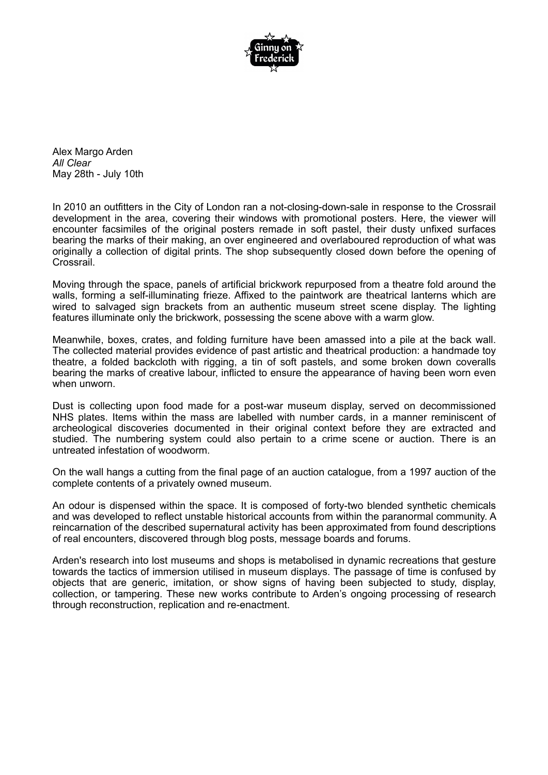

Alex Margo Arden *All Clear* May 28th - July 10th

In 2010 an outfitters in the City of London ran a not-closing-down-sale in response to the Crossrail development in the area, covering their windows with promotional posters. Here, the viewer will encounter facsimiles of the original posters remade in soft pastel, their dusty unfixed surfaces bearing the marks of their making, an over engineered and overlaboured reproduction of what was originally a collection of digital prints. The shop subsequently closed down before the opening of Crossrail.

Moving through the space, panels of artificial brickwork repurposed from a theatre fold around the walls, forming a self-illuminating frieze. Affixed to the paintwork are theatrical lanterns which are wired to salvaged sign brackets from an authentic museum street scene display. The lighting features illuminate only the brickwork, possessing the scene above with a warm glow.

Meanwhile, boxes, crates, and folding furniture have been amassed into a pile at the back wall. The collected material provides evidence of past artistic and theatrical production: a handmade toy theatre, a folded backcloth with rigging, a tin of soft pastels, and some broken down coveralls bearing the marks of creative labour, inflicted to ensure the appearance of having been worn even when unworn.

Dust is collecting upon food made for a post-war museum display, served on decommissioned NHS plates. Items within the mass are labelled with number cards, in a manner reminiscent of archeological discoveries documented in their original context before they are extracted and studied. The numbering system could also pertain to a crime scene or auction. There is an untreated infestation of woodworm.

On the wall hangs a cutting from the final page of an auction catalogue, from a 1997 auction of the complete contents of a privately owned museum.

An odour is dispensed within the space. It is composed of forty-two blended synthetic chemicals and was developed to reflect unstable historical accounts from within the paranormal community. A reincarnation of the described supernatural activity has been approximated from found descriptions of real encounters, discovered through blog posts, message boards and forums.

Arden's research into lost museums and shops is metabolised in dynamic recreations that gesture towards the tactics of immersion utilised in museum displays. The passage of time is confused by objects that are generic, imitation, or show signs of having been subjected to study, display, collection, or tampering. These new works contribute to Arden's ongoing processing of research through reconstruction, replication and re-enactment.